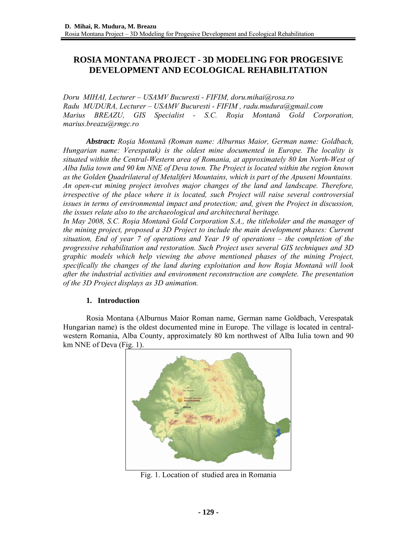# **ROSIA MONTANA PROJECT - 3D MODELING FOR PROGESIVE DEVELOPMENT AND ECOLOGICAL REHABILITATION**

*Doru MIHAI, Lecturer – USAMV Bucuresti - FIFIM, doru.mihai@rosa.ro Radu MUDURA, Lecturer – USAMV Bucuresti - FIFIM , radu.mudura@gmail.com Marius BREAZU, GIS Specialist - S.C. Roşia Montană Gold Corporation, marius.breazu@rmgc.ro* 

*Abstract: Roşia Montană (Roman name: Alburnus Maior, German name: Goldbach, Hungarian name: Verespatak) is the oldest mine documented in Europe. The locality is situated within the Central-Western area of Romania, at approximately 80 km North-West of Alba Iulia town and 90 km NNE of Deva town. The Project is located within the region known as the Golden Quadrilateral of Metaliferi Mountains, which is part of the Apuseni Mountains. An open-cut mining project involves major changes of the land and landscape. Therefore, irrespective of the place where it is located, such Project will raise several controversial issues in terms of environmental impact and protection; and, given the Project in discussion, the issues relate also to the archaeological and architectural heritage.* 

*In May 2008, S.C. Roşia Montană Gold Corporation S.A., the titleholder and the manager of the mining project, proposed a 3D Project to include the main development phases: Current situation, End of year 7 of operations and Year 19 of operations – the completion of the progressive rehabilitation and restoration. Such Project uses several GIS techniques and 3D graphic models which help viewing the above mentioned phases of the mining Project, specifically the changes of the land during exploitation and how Roşia Montană will look after the industrial activities and environment reconstruction are complete. The presentation of the 3D Project displays as 3D animation.* 

#### **1. Introduction**

Rosia Montana (Alburnus Maior Roman name, German name Goldbach, Verespatak Hungarian name) is the oldest documented mine in Europe. The village is located in centralwestern Romania, Alba County, approximately 80 km northwest of Alba Iulia town and 90 km NNE of Deva (Fig. 1).



Fig. 1. Location of studied area in Romania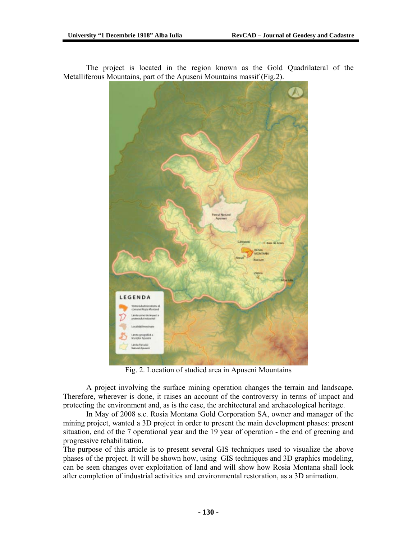

The project is located in the region known as the Gold Quadrilateral of the Metalliferous Mountains, part of the Apuseni Mountains massif (Fig.2).

Fig. 2. Location of studied area in Apuseni Mountains

A project involving the surface mining operation changes the terrain and landscape. Therefore, wherever is done, it raises an account of the controversy in terms of impact and protecting the environment and, as is the case, the architectural and archaeological heritage.

In May of 2008 s.c. Rosia Montana Gold Corporation SA, owner and manager of the mining project, wanted a 3D project in order to present the main development phases: present situation, end of the 7 operational year and the 19 year of operation - the end of greening and progressive rehabilitation.

The purpose of this article is to present several GIS techniques used to visualize the above phases of the project. It will be shown how, using GIS techniques and 3D graphics modeling, can be seen changes over exploitation of land and will show how Rosia Montana shall look after completion of industrial activities and environmental restoration, as a 3D animation.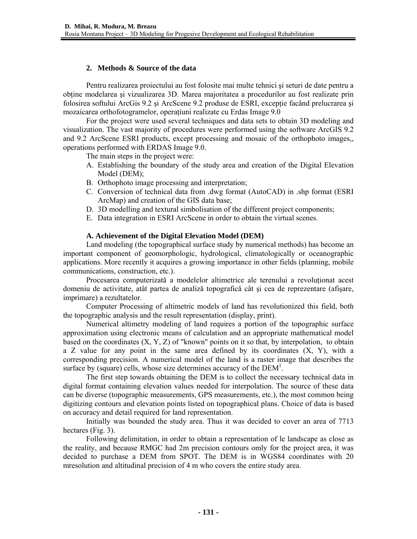# **2. Methods & Source of the data**

Pentru realizarea proiectului au fost folosite mai multe tehnici şi seturi de date pentru a obţine modelarea şi vizualizarea 3D. Marea majoritatea a procedurilor au fost realizate prin folosirea softului ArcGis 9.2 și ArcScene 9.2 produse de ESRI, exceptie facând prelucrarea și mozaicarea orthofotogramelor, operaţiuni realizate cu Erdas Image 9.0

For the project were used several techniques and data sets to obtain 3D modeling and visualization. The vast majority of procedures were performed using the software ArcGIS 9.2 and 9.2 ArcScene ESRI products, except processing and mosaic of the orthophoto images,, operations performed with ERDAS Image 9.0.

The main steps in the project were:

- A. Establishing the boundary of the study area and creation of the Digital Elevation Model (DEM);
- B. Orthophoto image processing and interpretation;
- C. Conversion of technical data from .dwg format (AutoCAD) in .shp format (ESRI ArcMap) and creation of the GIS data base;
- D. 3D modelling and textural simbolisation of the different project components;
- E. Data integration in ESRI ArcScene in order to obtain the virtual scenes.

## **A. Achievement of the Digital Elevation Model (DEM)**

Land modeling (the topographical surface study by numerical methods) has become an important component of geomorphologic, hydrological, climatologically or oceanographic applications. More recently it acquires a growing importance in other fields (planning, mobile communications, construction, etc.).

Procesarea computerizată a modelelor altimetrice ale terenului a revolutionat acest domeniu de activitate, atât partea de analiză topografică cât şi cea de reprezentare (afişare, imprimare) a rezultatelor.

Computer Processing of altimetric models of land has revolutionized this field, both the topographic analysis and the result representation (display, print).

Numerical altimetry modeling of land requires a portion of the topographic surface approximation using electronic means of calculation and an appropriate mathematical model based on the coordinates  $(X, Y, Z)$  of "known" points on it so that, by interpolation, to obtain a Z value for any point in the same area defined by its coordinates  $(X, Y)$ , with a corresponding precision. A numerical model of the land is a raster image that describes the surface by (square) cells, whose size determines accuracy of the  $DEM<sup>1</sup>$ .

The first step towards obtaining the DEM is to collect the necessary technical data in digital format containing elevation values needed for interpolation. The source of these data can be diverse (topographic measurements, GPS measurements, etc.), the most common being digitizing contours and elevation points listed on topographical plans. Choice of data is based on accuracy and detail required for land representation.

Initially was bounded the study area. Thus it was decided to cover an area of 7713 hectares (Fig. 3).

Following delimitation, in order to obtain a representation of le landscape as close as the reality, and because RMGC had 2m precision contours omly for the project area, it was decided to purchase a DEM from SPOT. The DEM is in WGS84 coordinates with 20 mresolution and altitudinal precision of 4 m who covers the entire study area.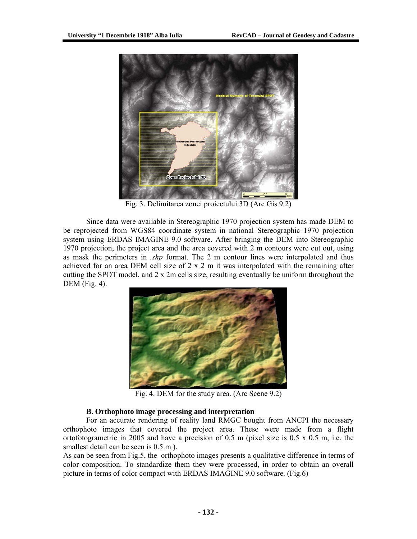

Fig. 3. Delimitarea zonei proiectului 3D (Arc Gis 9.2)

Since data were available in Stereographic 1970 projection system has made DEM to be reprojected from WGS84 coordinate system in national Stereographic 1970 projection system using ERDAS IMAGINE 9.0 software. After bringing the DEM into Stereographic 1970 projection, the project area and the area covered with 2 m contours were cut out, using as mask the perimeters in *.shp* format. The 2 m contour lines were interpolated and thus achieved for an area DEM cell size of 2 x 2 m it was interpolated with the remaining after cutting the SPOT model, and 2 x 2m cells size, resulting eventually be uniform throughout the DEM (Fig. 4).



Fig. 4. DEM for the study area. (Arc Scene 9.2)

# **B. Orthophoto image processing and interpretation**

For an accurate rendering of reality land RMGC bought from ANCPI the necessary orthophoto images that covered the project area. These were made from a flight ortofotogrametric in 2005 and have a precision of 0.5 m (pixel size is 0.5 x 0.5 m, i.e. the smallest detail can be seen is  $0.5$  m ).

As can be seen from Fig.5, the orthophoto images presents a qualitative difference in terms of color composition. To standardize them they were processed, in order to obtain an overall picture in terms of color compact with ERDAS IMAGINE 9.0 software. (Fig.6)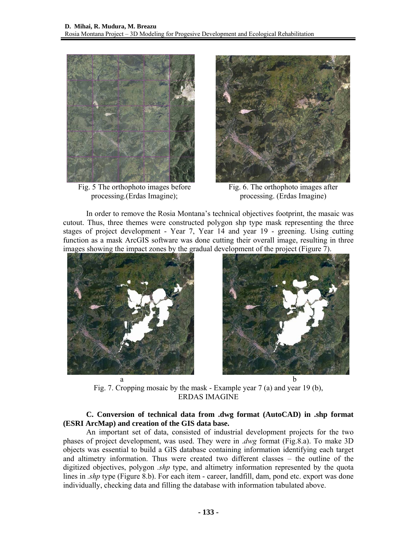

 Fig. 5 The orthophoto images before processing.(Erdas Imagine);



Fig. 6. The orthophoto images after processing. (Erdas Imagine)

In order to remove the Rosia Montana's technical objectives footprint, the masaic was cutout. Thus, three themes were constructed polygon shp type mask representing the three stages of project development - Year 7, Year 14 and year 19 - greening. Using cutting function as a mask ArcGIS software was done cutting their overall image, resulting in three images showing the impact zones by the gradual development of the project (Figure 7).





Fig. 7. Cropping mosaic by the mask - Example year 7 (a) and year 19 (b), ERDAS IMAGINE

# **C. Conversion of technical data from .dwg format (AutoCAD) in .shp format (ESRI ArcMap) and creation of the GIS data base.**

An important set of data, consisted of industrial development projects for the two phases of project development, was used. They were in .*dwg* format (Fig.8.a). To make 3D objects was essential to build a GIS database containing information identifying each target and altimetry information. Thus were created two different classes – the outline of the digitized objectives, polygon *.shp* type, and altimetry information represented by the quota lines in *.shp* type (Figure 8.b). For each item - career, landfill, dam, pond etc. export was done individually, checking data and filling the database with information tabulated above.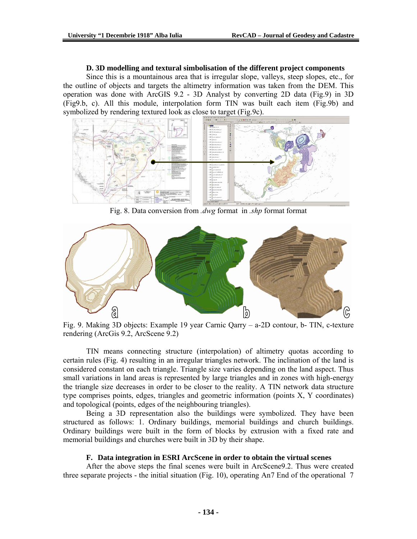#### **D. 3D modelling and textural simbolisation of the different project components**

Since this is a mountainous area that is irregular slope, valleys, steep slopes, etc., for the outline of objects and targets the altimetry information was taken from the DEM. This operation was done with ArcGIS 9.2 - 3D Analyst by converting 2D data (Fig.9) in 3D (Fig9.b, c). All this module, interpolation form TIN was built each item (Fig.9b) and symbolized by rendering textured look as close to target (Fig.9c).



Fig. 8. Data conversion from *.dwg* format in *.shp* format format



Fig. 9. Making 3D objects: Example 19 year Carnic Qarry – a-2D contour, b- TIN, c-texture rendering (ArcGis 9.2, ArcScene 9.2)

TIN means connecting structure (interpolation) of altimetry quotas according to certain rules (Fig. 4) resulting in an irregular triangles network. The inclination of the land is considered constant on each triangle. Triangle size varies depending on the land aspect. Thus small variations in land areas is represented by large triangles and in zones with high-energy the triangle size decreases in order to be closer to the reality. A TIN network data structure type comprises points, edges, triangles and geometric information (points X, Y coordinates) and topological (points, edges of the neighbouring triangles).

Being a 3D representation also the buildings were symbolized. They have been structured as follows: 1. Ordinary buildings, memorial buildings and church buildings. Ordinary buildings were built in the form of blocks by extrusion with a fixed rate and memorial buildings and churches were built in 3D by their shape.

#### **F. Data integration in ESRI ArcScene in order to obtain the virtual scenes**

After the above steps the final scenes were built in ArcScene9.2. Thus were created three separate projects - the initial situation (Fig. 10), operating An7 End of the operational 7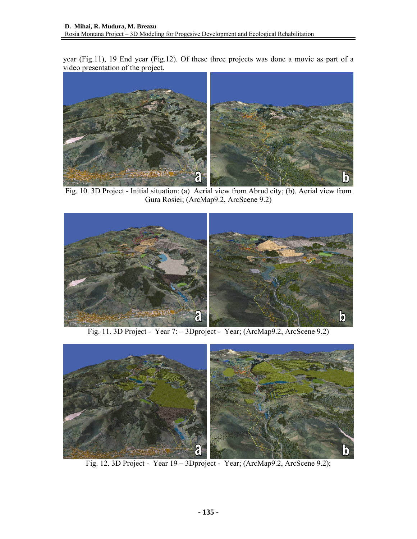year (Fig.11), 19 End year (Fig.12). Of these three projects was done a movie as part of a video presentation of the project.



Gura Rosiei; (ArcMap9.2, ArcScene 9.2)



Fig. 11. 3D Project - Year 7: – 3Dproject - Year; (ArcMap9.2, ArcScene 9.2)